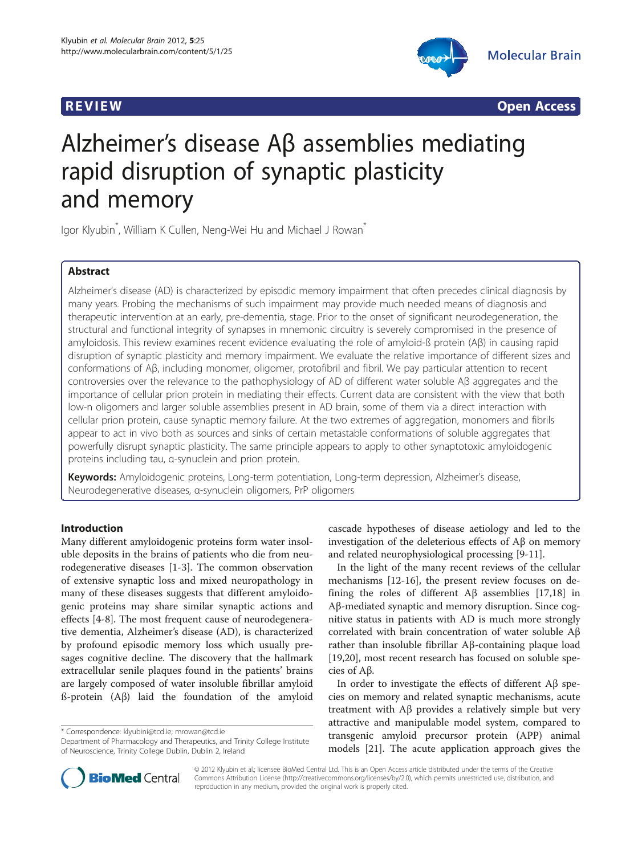



# Alzheimer's disease Aβ assemblies mediating rapid disruption of synaptic plasticity and memory

Igor Klyubin<sup>\*</sup>, William K Cullen, Neng-Wei Hu and Michael J Rowan<sup>\*</sup>

# Abstract

Alzheimer's disease (AD) is characterized by episodic memory impairment that often precedes clinical diagnosis by many years. Probing the mechanisms of such impairment may provide much needed means of diagnosis and therapeutic intervention at an early, pre-dementia, stage. Prior to the onset of significant neurodegeneration, the structural and functional integrity of synapses in mnemonic circuitry is severely compromised in the presence of amyloidosis. This review examines recent evidence evaluating the role of amyloid-ß protein (Aβ) in causing rapid disruption of synaptic plasticity and memory impairment. We evaluate the relative importance of different sizes and conformations of Aβ, including monomer, oligomer, protofibril and fibril. We pay particular attention to recent controversies over the relevance to the pathophysiology of AD of different water soluble Aβ aggregates and the importance of cellular prion protein in mediating their effects. Current data are consistent with the view that both low-n oligomers and larger soluble assemblies present in AD brain, some of them via a direct interaction with cellular prion protein, cause synaptic memory failure. At the two extremes of aggregation, monomers and fibrils appear to act in vivo both as sources and sinks of certain metastable conformations of soluble aggregates that powerfully disrupt synaptic plasticity. The same principle appears to apply to other synaptotoxic amyloidogenic proteins including tau, α-synuclein and prion protein.

Keywords: Amyloidogenic proteins, Long-term potentiation, Long-term depression, Alzheimer's disease, Neurodegenerative diseases, α-synuclein oligomers, PrP oligomers

# Introduction

Many different amyloidogenic proteins form water insoluble deposits in the brains of patients who die from neurodegenerative diseases [\[1-3](#page-7-0)]. The common observation of extensive synaptic loss and mixed neuropathology in many of these diseases suggests that different amyloidogenic proteins may share similar synaptic actions and effects [[4-8](#page-7-0)]. The most frequent cause of neurodegenerative dementia, Alzheimer's disease (AD), is characterized by profound episodic memory loss which usually presages cognitive decline. The discovery that the hallmark extracellular senile plaques found in the patients' brains are largely composed of water insoluble fibrillar amyloid ß-protein (Aβ) laid the foundation of the amyloid

\* Correspondence: [klyubini@tcd.ie](mailto:klyubini@tcd.ie); [mrowan@tcd.ie](mailto:mrowan@tcd.ie)



In the light of the many recent reviews of the cellular mechanisms [[12](#page-7-0)-[16\]](#page-7-0), the present review focuses on defining the roles of different Aβ assemblies [\[17,18\]](#page-7-0) in Aβ-mediated synaptic and memory disruption. Since cognitive status in patients with AD is much more strongly correlated with brain concentration of water soluble Aβ rather than insoluble fibrillar Aβ-containing plaque load [[19,20\]](#page-7-0), most recent research has focused on soluble species of Aβ.

In order to investigate the effects of different Aβ species on memory and related synaptic mechanisms, acute treatment with Aβ provides a relatively simple but very attractive and manipulable model system, compared to transgenic amyloid precursor protein (APP) animal models [[21\]](#page-7-0). The acute application approach gives the



© 2012 Klyubin et al.; licensee BioMed Central Ltd. This is an Open Access article distributed under the terms of the Creative Commons Attribution License [\(http://creativecommons.org/licenses/by/2.0\)](http://creativecommons.org/licenses/by/2.0), which permits unrestricted use, distribution, and reproduction in any medium, provided the original work is properly cited.

Department of Pharmacology and Therapeutics, and Trinity College Institute of Neuroscience, Trinity College Dublin, Dublin 2, Ireland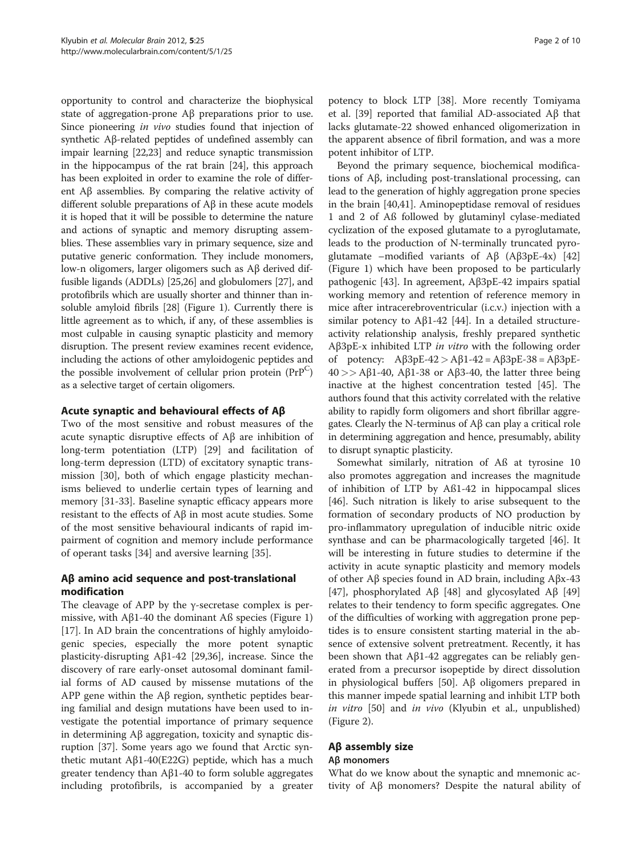opportunity to control and characterize the biophysical state of aggregation-prone Aβ preparations prior to use. Since pioneering *in vivo* studies found that injection of synthetic Aβ-related peptides of undefined assembly can impair learning [[22](#page-7-0),[23](#page-7-0)] and reduce synaptic transmission in the hippocampus of the rat brain [[24](#page-7-0)], this approach has been exploited in order to examine the role of different Aβ assemblies. By comparing the relative activity of different soluble preparations of Aβ in these acute models it is hoped that it will be possible to determine the nature and actions of synaptic and memory disrupting assemblies. These assemblies vary in primary sequence, size and putative generic conformation. They include monomers, low-n oligomers, larger oligomers such as Aβ derived diffusible ligands (ADDLs) [\[25,26\]](#page-7-0) and globulomers [\[27\]](#page-7-0), and protofibrils which are usually shorter and thinner than insoluble amyloid fibrils [\[28\]](#page-7-0) (Figure [1](#page-2-0)). Currently there is little agreement as to which, if any, of these assemblies is most culpable in causing synaptic plasticity and memory disruption. The present review examines recent evidence, including the actions of other amyloidogenic peptides and the possible involvement of cellular prion protein  $(PrP^{\mathcal{L}})$ as a selective target of certain oligomers.

# Acute synaptic and behavioural effects of Aβ

Two of the most sensitive and robust measures of the acute synaptic disruptive effects of Aβ are inhibition of long-term potentiation (LTP) [\[29](#page-7-0)] and facilitation of long-term depression (LTD) of excitatory synaptic transmission [[30\]](#page-7-0), both of which engage plasticity mechanisms believed to underlie certain types of learning and memory [[31-33](#page-7-0)]. Baseline synaptic efficacy appears more resistant to the effects of Aβ in most acute studies. Some of the most sensitive behavioural indicants of rapid impairment of cognition and memory include performance of operant tasks [\[34](#page-7-0)] and aversive learning [\[35](#page-7-0)].

# Aβ amino acid sequence and post-translational modification

The cleavage of APP by the γ-secretase complex is permissive, with  $A\beta1-40$  the dominant A $\beta$  species (Figure [1](#page-2-0)) [[17\]](#page-7-0). In AD brain the concentrations of highly amyloidogenic species, especially the more potent synaptic plasticity-disrupting Aβ1-42 [\[29,36](#page-7-0)], increase. Since the discovery of rare early-onset autosomal dominant familial forms of AD caused by missense mutations of the APP gene within the Aβ region, synthetic peptides bearing familial and design mutations have been used to investigate the potential importance of primary sequence in determining Aβ aggregation, toxicity and synaptic disruption [\[37\]](#page-7-0). Some years ago we found that Arctic synthetic mutant Aβ1-40(E22G) peptide, which has a much greater tendency than Aβ1-40 to form soluble aggregates including protofibrils, is accompanied by a greater

potency to block LTP [[38\]](#page-7-0). More recently Tomiyama et al. [[39\]](#page-7-0) reported that familial AD-associated Aβ that lacks glutamate-22 showed enhanced oligomerization in the apparent absence of fibril formation, and was a more potent inhibitor of LTP.

Beyond the primary sequence, biochemical modifications of Aβ, including post-translational processing, can lead to the generation of highly aggregation prone species in the brain [[40,41\]](#page-7-0). Aminopeptidase removal of residues 1 and 2 of Aß followed by glutaminyl cylase-mediated cyclization of the exposed glutamate to a pyroglutamate, leads to the production of N-terminally truncated pyroglutamate –modified variants of Aβ (Aβ3pE-4x) [[42](#page-7-0)] (Figure [1\)](#page-2-0) which have been proposed to be particularly pathogenic [[43\]](#page-7-0). In agreement, Aβ3pE-42 impairs spatial working memory and retention of reference memory in mice after intracerebroventricular (i.c.v.) injection with a similar potency to Aβ1-42 [\[44\]](#page-7-0). In a detailed structureactivity relationship analysis, freshly prepared synthetic Aβ3pE-x inhibited LTP in vitro with the following order of potency: Aβ3pE-42 > Aβ1-42 = Aβ3pE-38 = Aβ3pE- $40 >>$  Aβ1-40, Aβ1-38 or Aβ3-40, the latter three being inactive at the highest concentration tested [[45\]](#page-7-0). The authors found that this activity correlated with the relative ability to rapidly form oligomers and short fibrillar aggregates. Clearly the N-terminus of Aβ can play a critical role in determining aggregation and hence, presumably, ability to disrupt synaptic plasticity.

Somewhat similarly, nitration of Aß at tyrosine 10 also promotes aggregation and increases the magnitude of inhibition of LTP by Aß1-42 in hippocampal slices [[46\]](#page-7-0). Such nitration is likely to arise subsequent to the formation of secondary products of NO production by pro-inflammatory upregulation of inducible nitric oxide synthase and can be pharmacologically targeted [[46\]](#page-7-0). It will be interesting in future studies to determine if the activity in acute synaptic plasticity and memory models of other Aβ species found in AD brain, including Aβx-43 [[47\]](#page-7-0), phosphorylated Aβ [[48\]](#page-7-0) and glycosylated Aβ [[49](#page-8-0)] relates to their tendency to form specific aggregates. One of the difficulties of working with aggregation prone peptides is to ensure consistent starting material in the absence of extensive solvent pretreatment. Recently, it has been shown that Aβ1-42 aggregates can be reliably generated from a precursor isopeptide by direct dissolution in physiological buffers [[50](#page-8-0)]. Aβ oligomers prepared in this manner impede spatial learning and inhibit LTP both in vitro [[50](#page-8-0)] and in vivo (Klyubin et al., unpublished) (Figure [2](#page-3-0)).

# Aβ assembly size

# Aβ monomers

What do we know about the synaptic and mnemonic activity of Aβ monomers? Despite the natural ability of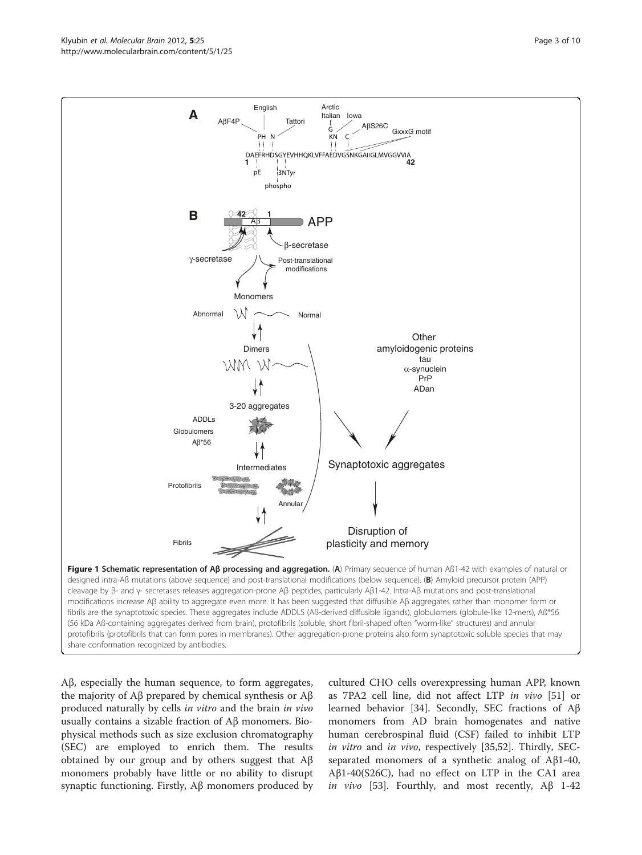<span id="page-2-0"></span>

Aβ, especially the human sequence, to form aggregates, the majority of Aβ prepared by chemical synthesis or Aβ produced naturally by cells *in vitro* and the brain *in vivo* usually contains a sizable fraction of Aβ monomers. Biophysical methods such as size exclusion chromatography (SEC) are employed to enrich them. The results obtained by our group and by others suggest that  $A\beta$ monomers probably have little or no ability to disrupt synaptic functioning. Firstly, Aβ monomers produced by

cultured CHO cells overexpressing human APP, known as 7PA2 cell line, did not affect LTP in vivo [[51](#page-8-0)] or learned behavior [\[34\]](#page-7-0). Secondly, SEC fractions of Aβ monomers from AD brain homogenates and native human cerebrospinal fluid (CSF) failed to inhibit LTP in vitro and in vivo, respectively [[35,](#page-7-0)[52\]](#page-8-0). Thirdly, SECseparated monomers of a synthetic analog of Aβ1-40, Aβ1-40(S26C), had no effect on LTP in the CA1 area in vivo [[53\]](#page-8-0). Fourthly, and most recently,  $\mathbf{A}\mathbf{\beta}$  1-42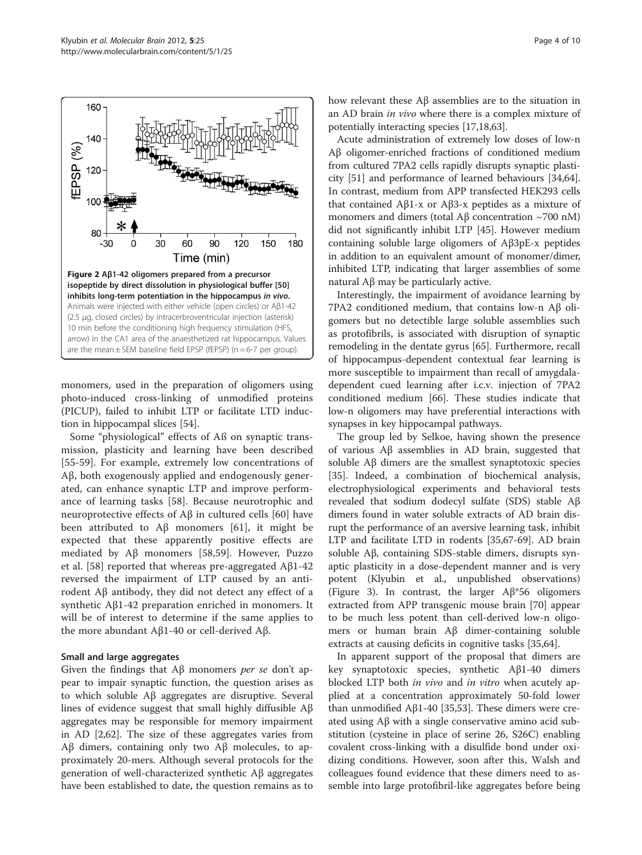<span id="page-3-0"></span>

monomers, used in the preparation of oligomers using photo-induced cross-linking of unmodified proteins (PICUP), failed to inhibit LTP or facilitate LTD induction in hippocampal slices [[54\]](#page-8-0).

Some "physiological" effects of Aß on synaptic transmission, plasticity and learning have been described [[55-59\]](#page-8-0). For example, extremely low concentrations of Aβ, both exogenously applied and endogenously generated, can enhance synaptic LTP and improve performance of learning tasks [[58](#page-8-0)]. Because neurotrophic and neuroprotective effects of Aβ in cultured cells [\[60](#page-8-0)] have been attributed to Aβ monomers [[61\]](#page-8-0), it might be expected that these apparently positive effects are mediated by Aβ monomers [[58,59\]](#page-8-0). However, Puzzo et al. [\[58](#page-8-0)] reported that whereas pre-aggregated  $A\beta1-42$ reversed the impairment of LTP caused by an antirodent Aβ antibody, they did not detect any effect of a synthetic Aβ1-42 preparation enriched in monomers. It will be of interest to determine if the same applies to the more abundant Aβ1-40 or cell-derived Aβ.

### Small and large aggregates

Given the findings that  $A\beta$  monomers *per se* don't appear to impair synaptic function, the question arises as to which soluble Aβ aggregates are disruptive. Several lines of evidence suggest that small highly diffusible Aβ aggregates may be responsible for memory impairment in AD [[2,](#page-7-0)[62\]](#page-8-0). The size of these aggregates varies from Aβ dimers, containing only two  $\Lambda$ β molecules, to approximately 20-mers. Although several protocols for the generation of well-characterized synthetic Aβ aggregates have been established to date, the question remains as to how relevant these Aβ assemblies are to the situation in an AD brain in vivo where there is a complex mixture of potentially interacting species [\[17,18](#page-7-0)[,63\]](#page-8-0).

Acute administration of extremely low doses of low-n Aβ oligomer-enriched fractions of conditioned medium from cultured 7PA2 cells rapidly disrupts synaptic plasticity [[51\]](#page-8-0) and performance of learned behaviours [[34,](#page-7-0)[64](#page-8-0)]. In contrast, medium from APP transfected HEK293 cells that contained Aβ1-x or Aβ3-x peptides as a mixture of monomers and dimers (total Aβ concentration ~700 nM) did not significantly inhibit LTP [[45](#page-7-0)]. However medium containing soluble large oligomers of Aβ3pE-x peptides in addition to an equivalent amount of monomer/dimer, inhibited LTP, indicating that larger assemblies of some natural Aβ may be particularly active.

Interestingly, the impairment of avoidance learning by 7PA2 conditioned medium, that contains low-n Aβ oligomers but no detectible large soluble assemblies such as protofibrils, is associated with disruption of synaptic remodeling in the dentate gyrus [\[65](#page-8-0)]. Furthermore, recall of hippocampus-dependent contextual fear learning is more susceptible to impairment than recall of amygdaladependent cued learning after i.c.v. injection of 7PA2 conditioned medium [\[66\]](#page-8-0). These studies indicate that low-n oligomers may have preferential interactions with synapses in key hippocampal pathways.

The group led by Selkoe, having shown the presence of various Aβ assemblies in AD brain, suggested that soluble Aβ dimers are the smallest synaptotoxic species [[35\]](#page-7-0). Indeed, a combination of biochemical analysis, electrophysiological experiments and behavioral tests revealed that sodium dodecyl sulfate (SDS) stable Aβ dimers found in water soluble extracts of AD brain disrupt the performance of an aversive learning task, inhibit LTP and facilitate LTD in rodents [[35,](#page-7-0)[67-69](#page-8-0)]. AD brain soluble Aβ, containing SDS-stable dimers, disrupts synaptic plasticity in a dose-dependent manner and is very potent (Klyubin et al., unpublished observations) (Figure [3\)](#page-4-0). In contrast, the larger Aβ\*56 oligomers extracted from APP transgenic mouse brain [[70\]](#page-8-0) appear to be much less potent than cell-derived low-n oligomers or human brain Aβ dimer-containing soluble extracts at causing deficits in cognitive tasks [[35](#page-7-0),[64](#page-8-0)].

In apparent support of the proposal that dimers are key synaptotoxic species, synthetic Aβ1-40 dimers blocked LTP both *in vivo* and *in vitro* when acutely applied at a concentration approximately 50-fold lower than unmodified  $Aβ1-40$  [\[35](#page-7-0)[,53\]](#page-8-0). These dimers were created using Aβ with a single conservative amino acid substitution (cysteine in place of serine 26, S26C) enabling covalent cross-linking with a disulfide bond under oxidizing conditions. However, soon after this, Walsh and colleagues found evidence that these dimers need to assemble into large protofibril-like aggregates before being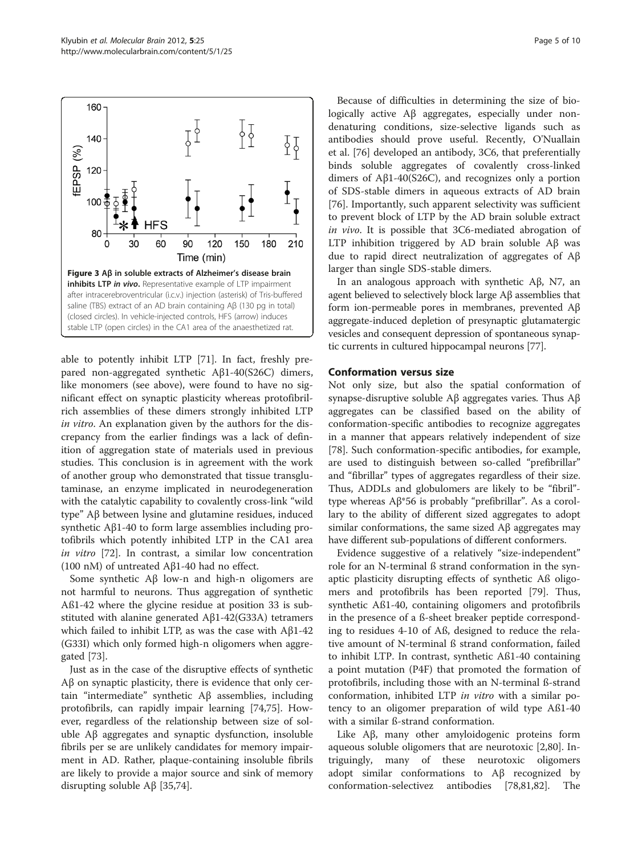<span id="page-4-0"></span>

able to potently inhibit LTP [\[71\]](#page-8-0). In fact, freshly prepared non-aggregated synthetic Aβ1-40(S26C) dimers, like monomers (see above), were found to have no significant effect on synaptic plasticity whereas protofibrilrich assemblies of these dimers strongly inhibited LTP in vitro. An explanation given by the authors for the discrepancy from the earlier findings was a lack of definition of aggregation state of materials used in previous studies. This conclusion is in agreement with the work of another group who demonstrated that tissue transglutaminase, an enzyme implicated in neurodegeneration with the catalytic capability to covalently cross-link "wild type" Aβ between lysine and glutamine residues, induced synthetic Aβ1-40 to form large assemblies including protofibrils which potently inhibited LTP in the CA1 area in vitro [[72\]](#page-8-0). In contrast, a similar low concentration (100 nM) of untreated  $A\beta$ 1-40 had no effect.

Some synthetic Aβ low-n and high-n oligomers are not harmful to neurons. Thus aggregation of synthetic Aß1-42 where the glycine residue at position 33 is substituted with alanine generated  $Aβ1-42(G33A)$  tetramers which failed to inhibit LTP, as was the case with  $Aβ1-42$ (G33I) which only formed high-n oligomers when aggregated [[73\]](#page-8-0).

Just as in the case of the disruptive effects of synthetic  $Aβ$  on synaptic plasticity, there is evidence that only certain "intermediate" synthetic Aβ assemblies, including protofibrils, can rapidly impair learning [\[74,75\]](#page-8-0). However, regardless of the relationship between size of soluble Aβ aggregates and synaptic dysfunction, insoluble fibrils per se are unlikely candidates for memory impairment in AD. Rather, plaque-containing insoluble fibrils are likely to provide a major source and sink of memory disrupting soluble Aβ [\[35](#page-7-0)[,74\]](#page-8-0).

Because of difficulties in determining the size of biologically active Aβ aggregates, especially under nondenaturing conditions, size-selective ligands such as antibodies should prove useful. Recently, O'Nuallain et al. [[76](#page-8-0)] developed an antibody, 3C6, that preferentially binds soluble aggregates of covalently cross-linked dimers of  $Aβ1-40(S26C)$ , and recognizes only a portion of SDS-stable dimers in aqueous extracts of AD brain [[76\]](#page-8-0). Importantly, such apparent selectivity was sufficient to prevent block of LTP by the AD brain soluble extract in vivo. It is possible that 3C6-mediated abrogation of LTP inhibition triggered by AD brain soluble Aβ was due to rapid direct neutralization of aggregates of Aβ larger than single SDS-stable dimers.

In an analogous approach with synthetic Aβ, N7, an agent believed to selectively block large Aβ assemblies that form ion-permeable pores in membranes, prevented Aβ aggregate-induced depletion of presynaptic glutamatergic vesicles and consequent depression of spontaneous synaptic currents in cultured hippocampal neurons [\[77\]](#page-8-0).

# Conformation versus size

Not only size, but also the spatial conformation of synapse-disruptive soluble Aβ aggregates varies. Thus Aβ aggregates can be classified based on the ability of conformation-specific antibodies to recognize aggregates in a manner that appears relatively independent of size [[78\]](#page-8-0). Such conformation-specific antibodies, for example, are used to distinguish between so-called "prefibrillar" and "fibrillar" types of aggregates regardless of their size. Thus, ADDLs and globulomers are likely to be "fibril" type whereas Aβ\*56 is probably "prefibrillar". As a corollary to the ability of different sized aggregates to adopt similar conformations, the same sized  $\text{A}\beta$  aggregates may have different sub-populations of different conformers.

Evidence suggestive of a relatively "size-independent" role for an N-terminal ß strand conformation in the synaptic plasticity disrupting effects of synthetic Aß oligomers and protofibrils has been reported [[79\]](#page-8-0). Thus, synthetic Aß1-40, containing oligomers and protofibrils in the presence of a ß-sheet breaker peptide corresponding to residues 4-10 of Aß, designed to reduce the relative amount of N-terminal ß strand conformation, failed to inhibit LTP. In contrast, synthetic Aß1-40 containing a point mutation (P4F) that promoted the formation of protofibrils, including those with an N-terminal ß-strand conformation, inhibited LTP in vitro with a similar potency to an oligomer preparation of wild type Aß1-40 with a similar ß-strand conformation.

Like Aβ, many other amyloidogenic proteins form aqueous soluble oligomers that are neurotoxic [\[2](#page-7-0)[,80\]](#page-8-0). Intriguingly, many of these neurotoxic oligomers adopt similar conformations to Aβ recognized by conformation-selectivez antibodies [\[78,81,82](#page-8-0)]. The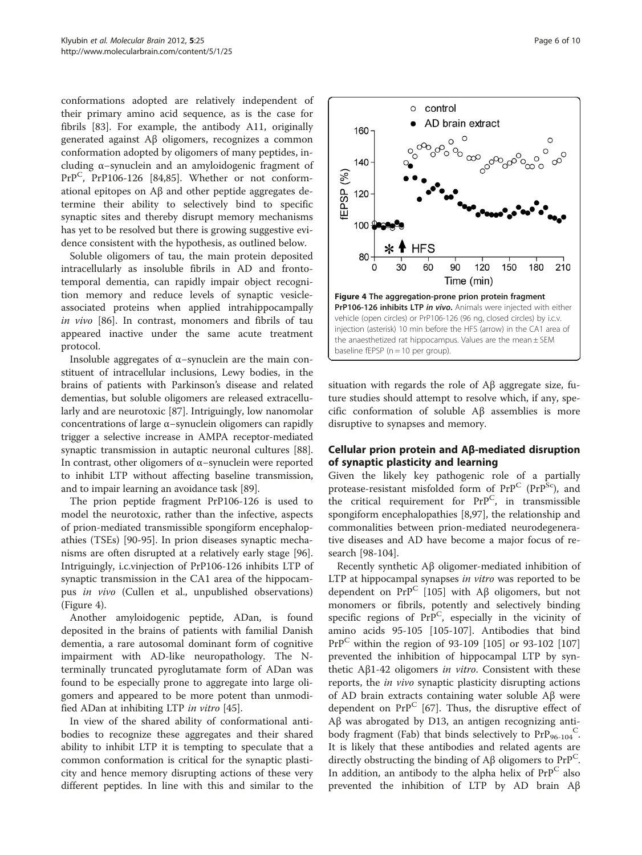conformations adopted are relatively independent of their primary amino acid sequence, as is the case for fibrils [\[83](#page-8-0)]. For example, the antibody A11, originally generated against Aβ oligomers, recognizes a common conformation adopted by oligomers of many peptides, including α−synuclein and an amyloidogenic fragment of PrP<sup>C</sup>, PrP106-126 [[84,85\]](#page-8-0). Whether or not conformational epitopes on Aβ and other peptide aggregates determine their ability to selectively bind to specific synaptic sites and thereby disrupt memory mechanisms has yet to be resolved but there is growing suggestive evidence consistent with the hypothesis, as outlined below.

Soluble oligomers of tau, the main protein deposited intracellularly as insoluble fibrils in AD and frontotemporal dementia, can rapidly impair object recognition memory and reduce levels of synaptic vesicleassociated proteins when applied intrahippocampally in vivo [[86\]](#page-8-0). In contrast, monomers and fibrils of tau appeared inactive under the same acute treatment protocol.

Insoluble aggregates of α−synuclein are the main constituent of intracellular inclusions, Lewy bodies, in the brains of patients with Parkinson's disease and related dementias, but soluble oligomers are released extracellularly and are neurotoxic [\[87](#page-8-0)]. Intriguingly, low nanomolar concentrations of large α−synuclein oligomers can rapidly trigger a selective increase in AMPA receptor-mediated synaptic transmission in autaptic neuronal cultures [[88](#page-8-0)]. In contrast, other oligomers of α−synuclein were reported to inhibit LTP without affecting baseline transmission, and to impair learning an avoidance task [\[89\]](#page-8-0).

The prion peptide fragment PrP106-126 is used to model the neurotoxic, rather than the infective, aspects of prion-mediated transmissible spongiform encephalopathies (TSEs) [[90-95\]](#page-9-0). In prion diseases synaptic mechanisms are often disrupted at a relatively early stage [\[96](#page-9-0)]. Intriguingly, i.c.vinjection of PrP106-126 inhibits LTP of synaptic transmission in the CA1 area of the hippocampus in vivo (Cullen et al., unpublished observations) (Figure 4).

Another amyloidogenic peptide, ADan, is found deposited in the brains of patients with familial Danish dementia, a rare autosomal dominant form of cognitive impairment with AD-like neuropathology. The Nterminally truncated pyroglutamate form of ADan was found to be especially prone to aggregate into large oligomers and appeared to be more potent than unmodified ADan at inhibiting LTP in vitro [\[45\]](#page-7-0).

In view of the shared ability of conformational antibodies to recognize these aggregates and their shared ability to inhibit LTP it is tempting to speculate that a common conformation is critical for the synaptic plasticity and hence memory disrupting actions of these very different peptides. In line with this and similar to the



situation with regards the role of Aβ aggregate size, future studies should attempt to resolve which, if any, specific conformation of soluble Aβ assemblies is more disruptive to synapses and memory.

# Cellular prion protein and Aβ-mediated disruption of synaptic plasticity and learning

Given the likely key pathogenic role of a partially protease-resistant misfolded form of  $PrP^C$  ( $PrP^{Sc}$ ), and the critical requirement for  $PrP^C$ , in transmissible spongiform encephalopathies [[8,](#page-7-0)[97\]](#page-9-0), the relationship and commonalities between prion-mediated neurodegenerative diseases and AD have become a major focus of research [[98-104\]](#page-9-0).

Recently synthetic Aβ oligomer-mediated inhibition of LTP at hippocampal synapses in vitro was reported to be dependent on  $PrP^C$  [\[105\]](#page-9-0) with A $\beta$  oligomers, but not monomers or fibrils, potently and selectively binding specific regions of  $PrP^C$ , especially in the vicinity of amino acids 95-105 [[105-107\]](#page-9-0). Antibodies that bind  $PrP^C$  within the region of 93-109 [\[105\]](#page-9-0) or 93-102 [[107](#page-9-0)] prevented the inhibition of hippocampal LTP by synthetic Aβ1-42 oligomers *in vitro*. Consistent with these reports, the *in vivo* synaptic plasticity disrupting actions of AD brain extracts containing water soluble Aβ were dependent on  $Pr^{C}$  [\[67](#page-8-0)]. Thus, the disruptive effect of Aβ was abrogated by D13, an antigen recognizing antibody fragment (Fab) that binds selectively to  $PrP_{96-104}C$ . It is likely that these antibodies and related agents are directly obstructing the binding of  $A\beta$  oligomers to PrP<sup>C</sup>. In addition, an antibody to the alpha helix of  $PrP^C$  also prevented the inhibition of LTP by AD brain Aβ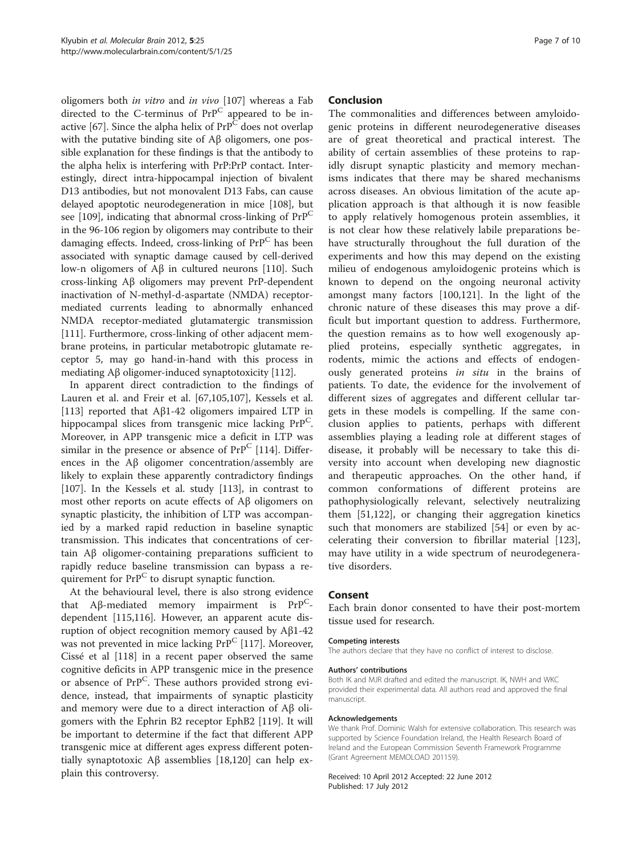oligomers both in vitro and in vivo [\[107\]](#page-9-0) whereas a Fab directed to the C-terminus of  $PrP^C$  appeared to be in-active [[67](#page-8-0)]. Since the alpha helix of  $PrP^C$  does not overlap with the putative binding site of Aβ oligomers, one possible explanation for these findings is that the antibody to the alpha helix is interfering with PrP:PrP contact. Interestingly, direct intra-hippocampal injection of bivalent D13 antibodies, but not monovalent D13 Fabs, can cause delayed apoptotic neurodegeneration in mice [[108](#page-9-0)], but see [[109](#page-9-0)], indicating that abnormal cross-linking of  $PrP^C$ in the 96-106 region by oligomers may contribute to their damaging effects. Indeed, cross-linking of  $PrP^C$  has been associated with synaptic damage caused by cell-derived low-n oligomers of Aβ in cultured neurons [[110](#page-9-0)]. Such cross-linking Aβ oligomers may prevent PrP-dependent inactivation of N-methyl-d-aspartate (NMDA) receptormediated currents leading to abnormally enhanced NMDA receptor-mediated glutamatergic transmission [[111](#page-9-0)]. Furthermore, cross-linking of other adjacent membrane proteins, in particular metabotropic glutamate receptor 5, may go hand-in-hand with this process in mediating Aβ oligomer-induced synaptotoxicity [[112](#page-9-0)].

In apparent direct contradiction to the findings of Lauren et al. and Freir et al. [\[67,](#page-8-0)[105,107\]](#page-9-0), Kessels et al. [[113\]](#page-9-0) reported that Aβ1-42 oligomers impaired LTP in hippocampal slices from transgenic mice lacking PrP<sup>C</sup>. Moreover, in APP transgenic mice a deficit in LTP was similar in the presence or absence of  $PrP^C$  [\[114\]](#page-9-0). Differences in the Aβ oligomer concentration/assembly are likely to explain these apparently contradictory findings [[107\]](#page-9-0). In the Kessels et al. study [\[113](#page-9-0)], in contrast to most other reports on acute effects of Aβ oligomers on synaptic plasticity, the inhibition of LTP was accompanied by a marked rapid reduction in baseline synaptic transmission. This indicates that concentrations of certain Aβ oligomer-containing preparations sufficient to rapidly reduce baseline transmission can bypass a requirement for  $PrP^C$  to disrupt synaptic function.

At the behavioural level, there is also strong evidence that Aβ-mediated memory impairment is  $PrP<sup>C</sup>$ dependent [[115](#page-9-0),[116](#page-9-0)]. However, an apparent acute disruption of object recognition memory caused by Aβ1-42 was not prevented in mice lacking PrPC [\[117\]](#page-9-0). Moreover, Cissé et al [\[118](#page-9-0)] in a recent paper observed the same cognitive deficits in APP transgenic mice in the presence or absence of PrPC. These authors provided strong evidence, instead, that impairments of synaptic plasticity and memory were due to a direct interaction of  $\text{A}\beta$  oligomers with the Ephrin B2 receptor EphB2 [[119\]](#page-9-0). It will be important to determine if the fact that different APP transgenic mice at different ages express different potentially synaptotoxic Aβ assemblies [\[18](#page-7-0)[,120](#page-9-0)] can help explain this controversy.

## Conclusion

The commonalities and differences between amyloidogenic proteins in different neurodegenerative diseases are of great theoretical and practical interest. The ability of certain assemblies of these proteins to rapidly disrupt synaptic plasticity and memory mechanisms indicates that there may be shared mechanisms across diseases. An obvious limitation of the acute application approach is that although it is now feasible to apply relatively homogenous protein assemblies, it is not clear how these relatively labile preparations behave structurally throughout the full duration of the experiments and how this may depend on the existing milieu of endogenous amyloidogenic proteins which is known to depend on the ongoing neuronal activity amongst many factors [[100,121\]](#page-9-0). In the light of the chronic nature of these diseases this may prove a difficult but important question to address. Furthermore, the question remains as to how well exogenously applied proteins, especially synthetic aggregates, in rodents, mimic the actions and effects of endogenously generated proteins in situ in the brains of patients. To date, the evidence for the involvement of different sizes of aggregates and different cellular targets in these models is compelling. If the same conclusion applies to patients, perhaps with different assemblies playing a leading role at different stages of disease, it probably will be necessary to take this diversity into account when developing new diagnostic and therapeutic approaches. On the other hand, if common conformations of different proteins are pathophysiologically relevant, selectively neutralizing them [[51](#page-8-0),[122\]](#page-9-0), or changing their aggregation kinetics such that monomers are stabilized [\[54](#page-8-0)] or even by accelerating their conversion to fibrillar material [\[123](#page-9-0)], may have utility in a wide spectrum of neurodegenerative disorders.

### Consent

Each brain donor consented to have their post-mortem tissue used for research.

#### Competing interests

The authors declare that they have no conflict of interest to disclose.

#### Authors' contributions

Both IK and MJR drafted and edited the manuscript. IK, NWH and WKC provided their experimental data. All authors read and approved the final manuscript.

#### Acknowledgements

We thank Prof. Dominic Walsh for extensive collaboration. This research was supported by Science Foundation Ireland, the Health Research Board of Ireland and the European Commission Seventh Framework Programme (Grant Agreement MEMOLOAD 201159).

#### Received: 10 April 2012 Accepted: 22 June 2012 Published: 17 July 2012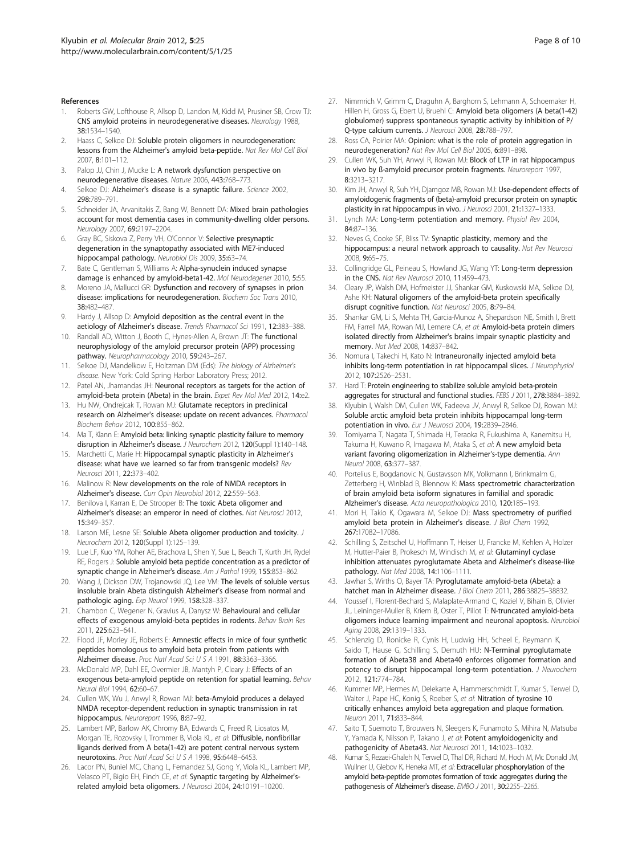#### <span id="page-7-0"></span>References

- 1. Roberts GW, Lofthouse R, Allsop D, Landon M, Kidd M, Prusiner SB, Crow TJ: CNS amyloid proteins in neurodegenerative diseases. Neurology 1988, 38:1534–1540.
- 2. Haass C, Selkoe DJ: Soluble protein oligomers in neurodegeneration: lessons from the Alzheimer's amyloid beta-peptide. Nat Rev Mol Cell Biol 2007, 8:101–112.
- 3. Palop JJ, Chin J, Mucke L: A network dysfunction perspective on neurodegenerative diseases. Nature 2006, 443:768–773.
- 4. Selkoe DJ: Alzheimer's disease is a synaptic failure. Science 2002, 298:789–791.
- 5. Schneider JA, Arvanitakis Z, Bang W, Bennett DA: Mixed brain pathologies account for most dementia cases in community-dwelling older persons. Neurology 2007, 69:2197–2204.
- Gray BC, Siskova Z, Perry VH, O'Connor V: Selective presynaptic degeneration in the synaptopathy associated with ME7-induced hippocampal pathology. Neurobiol Dis 2009, 35:63–74.
- Bate C, Gentleman S, Williams A: Alpha-synuclein induced synapse damage is enhanced by amyloid-beta1-42. Mol Neurodegener 2010, 5:55.
- Moreno JA, Mallucci GR: Dysfunction and recovery of synapses in prion disease: implications for neurodegeneration. Biochem Soc Trans 2010, 38:482–487.
- 9. Hardy J, Allsop D: Amyloid deposition as the central event in the aetiology of Alzheimer's disease. Trends Pharmacol Sci 1991, 12:383–388.
- 10. Randall AD, Witton J, Booth C, Hynes-Allen A, Brown JT: The functional neurophysiology of the amyloid precursor protein (APP) processing pathway. Neuropharmacology 2010, 59:243–267.
- 11. Selkoe DJ, Mandelkow E, Holtzman DM (Eds): The biology of Alzheimer's disease. New York: Cold Spring Harbor Laboratory Press; 2012.
- 12. Patel AN, Jhamandas JH: Neuronal receptors as targets for the action of amyloid-beta protein (Abeta) in the brain. Expet Rev Mol Med 2012, 14:e2.
- 13. Hu NW, Ondrejcak T, Rowan MJ: Glutamate receptors in preclinical research on Alzheimer's disease: update on recent advances. Pharmacol Biochem Behav 2012, 100:855–862.
- 14. Ma T, Klann E: Amyloid beta: linking synaptic plasticity failure to memory disruption in Alzheimer's disease. J Neurochem 2012, 120(Suppl 1):140–148.
- 15. Marchetti C, Marie H: Hippocampal synaptic plasticity in Alzheimer's disease: what have we learned so far from transgenic models? Rev Neurosci 2011, 22:373–402.
- 16. Malinow R: New developments on the role of NMDA receptors in Alzheimer's disease. Curr Opin Neurobiol 2012, 22:559–563.
- 17. Benilova I, Karran E, De Strooper B: The toxic Abeta oligomer and Alzheimer's disease: an emperor in need of clothes. Nat Neurosci 2012, 15:349–357.
- 18. Larson ME, Lesne SE: Soluble Abeta oligomer production and toxicity. J Neurochem 2012, 120(Suppl 1):125–139.
- 19. Lue LF, Kuo YM, Roher AE, Brachova L, Shen Y, Sue L, Beach T, Kurth JH, Rydel RE, Rogers J: Soluble amyloid beta peptide concentration as a predictor of synaptic change in Alzheimer's disease. Am J Pathol 1999, 155:853–862.
- 20. Wang J, Dickson DW, Trojanowski JQ, Lee VM: The levels of soluble versus insoluble brain Abeta distinguish Alzheimer's disease from normal and pathologic aging. Exp Neurol 1999, 158:328-337.
- 21. Chambon C, Wegener N, Gravius A, Danysz W: Behavioural and cellular effects of exogenous amyloid-beta peptides in rodents. Behav Brain Res 2011, 225:623–641.
- 22. Flood JF, Morley JE, Roberts E: Amnestic effects in mice of four synthetic peptides homologous to amyloid beta protein from patients with Alzheimer disease. Proc Natl Acad Sci U S A 1991, 88:3363–3366.
- 23. McDonald MP, Dahl EE, Overmier JB, Mantyh P, Cleary J: Effects of an exogenous beta-amyloid peptide on retention for spatial learning. Behav Neural Biol 1994, 62:60–67.
- 24. Cullen WK, Wu J, Anwyl R, Rowan MJ: beta-Amyloid produces a delayed NMDA receptor-dependent reduction in synaptic transmission in rat hippocampus. Neuroreport 1996, 8:87-92.
- 25. Lambert MP, Barlow AK, Chromy BA, Edwards C, Freed R, Liosatos M, Morgan TE, Rozovsky I, Trommer B, Viola KL, et al: Diffusible, nonfibrillar ligands derived from A beta(1-42) are potent central nervous system neurotoxins. Proc Natl Acad Sci U S A 1998, 95:6448–6453.
- 26. Lacor PN, Buniel MC, Chang L, Fernandez SJ, Gong Y, Viola KL, Lambert MP, Velasco PT, Bigio EH, Finch CE, et al: Synaptic targeting by Alzheimer'srelated amyloid beta oligomers. J Neurosci 2004, 24:10191–10200.
- 27. Nimmrich V, Grimm C, Draguhn A, Barghorn S, Lehmann A, Schoemaker H, Hillen H, Gross G, Ebert U, Bruehl C: Amyloid beta oligomers (A beta(1-42) globulomer) suppress spontaneous synaptic activity by inhibition of P/ Q-type calcium currents. J Neurosci 2008, 28:788–797.
- 28. Ross CA, Poirier MA: Opinion: what is the role of protein aggregation in neurodegeneration? Nat Rev Mol Cell Biol 2005, 6:891–898.
- 29. Cullen WK, Suh YH, Anwyl R, Rowan MJ: Block of LTP in rat hippocampus in vivo by ß-amyloid precursor protein fragments. Neuroreport 1997, 8:3213–3217.
- 30. Kim JH, Anwyl R, Suh YH, Djamgoz MB, Rowan MJ: Use-dependent effects of amyloidogenic fragments of (beta)-amyloid precursor protein on synaptic plasticity in rat hippocampus in vivo. J Neurosci 2001, 21:1327–1333.
- 31. Lynch MA: Long-term potentiation and memory. Physiol Rev 2004, 84:87–136.
- 32. Neves G, Cooke SF, Bliss TV: Synaptic plasticity, memory and the hippocampus: a neural network approach to causality. Nat Rev Neurosci 2008, 9:65–75.
- 33. Collingridge GL, Peineau S, Howland JG, Wang YT: Long-term depression in the CNS. Nat Rev Neurosci 2010, 11:459–473.
- 34. Cleary JP, Walsh DM, Hofmeister JJ, Shankar GM, Kuskowski MA, Selkoe DJ, Ashe KH: Natural oligomers of the amyloid-beta protein specifically disrupt cognitive function. Nat Neurosci 2005, 8:79-84.
- 35. Shankar GM, Li S, Mehta TH, Garcia-Munoz A, Shepardson NE, Smith I, Brett FM, Farrell MA, Rowan MJ, Lemere CA, et al: Amyloid-beta protein dimers isolated directly from Alzheimer's brains impair synaptic plasticity and memory. Nat Med 2008, 14:837–842.
- 36. Nomura I, Takechi H, Kato N: Intraneuronally injected amyloid beta inhibits long-term potentiation in rat hippocampal slices. J Neurophysiol 2012, 107:2526–2531.
- 37. Hard T: Protein engineering to stabilize soluble amyloid beta-protein aggregates for structural and functional studies. FEBS J 2011, 278:3884–3892.
- 38. Klyubin I, Walsh DM, Cullen WK, Fadeeva JV, Anwyl R, Selkoe DJ, Rowan MJ: Soluble arctic amyloid beta protein inhibits hippocampal long-term potentiation in vivo. Eur J Neurosci 2004, 19:2839–2846.
- 39. Tomiyama T, Nagata T, Shimada H, Teraoka R, Fukushima A, Kanemitsu H, Takuma H, Kuwano R, Imagawa M, Ataka S, et al: A new amyloid beta variant favoring oligomerization in Alzheimer's-type dementia. Ann Neurol 2008, 63:377–387.
- 40. Portelius E, Bogdanovic N, Gustavsson MK, Volkmann I, Brinkmalm G, Zetterberg H, Winblad B, Blennow K: Mass spectrometric characterization of brain amyloid beta isoform signatures in familial and sporadic Alzheimer's disease. Acta neuropathologica 2010, 120:185–193.
- 41. Mori H, Takio K, Ogawara M, Selkoe DJ: Mass spectrometry of purified amyloid beta protein in Alzheimer's disease. J Biol Chem 1992, 267:17082–17086.
- 42. Schilling S, Zeitschel U, Hoffmann T, Heiser U, Francke M, Kehlen A, Holzer M, Hutter-Paier B, Prokesch M, Windisch M, et al: Glutaminyl cyclase inhibition attenuates pyroglutamate Abeta and Alzheimer's disease-like pathology. Nat Med 2008, 14:1106–1111.
- 43. Jawhar S, Wirths O, Bayer TA: Pyroglutamate amyloid-beta (Abeta): a hatchet man in Alzheimer disease. J Biol Chem 2011, 286:38825–38832.
- Youssef I, Florent-Bechard S, Malaplate-Armand C, Koziel V, Bihain B, Olivier JL, Leininger-Muller B, Kriem B, Oster T, Pillot T: N-truncated amyloid-beta oligomers induce learning impairment and neuronal apoptosis. Neurobiol Aging 2008, 29:1319–1333.
- 45. Schlenzig D, Ronicke R, Cynis H, Ludwig HH, Scheel E, Reymann K, Saido T, Hause G, Schilling S, Demuth HU: N-Terminal pyroglutamate formation of Abeta38 and Abeta40 enforces oligomer formation and potency to disrupt hippocampal long-term potentiation. J Neurochem 2012, 121:774–784.
- 46. Kummer MP, Hermes M, Delekarte A, Hammerschmidt T, Kumar S, Terwel D, Walter J, Pape HC, Konig S, Roeber S, et al: Nitration of tyrosine 10 critically enhances amyloid beta aggregation and plaque formation. Neuron 2011, 71:833–844.
- 47. Saito T, Suemoto T, Brouwers N, Sleegers K, Funamoto S, Mihira N, Matsuba Y, Yamada K, Nilsson P, Takano J, et al: Potent amyloidogenicity and pathogenicity of Abeta43. Nat Neurosci 2011, 14:1023–1032.
- Kumar S, Rezaei-Ghaleh N, Terwel D, Thal DR, Richard M, Hoch M, Mc Donald JM, Wullner U, Glebov K, Heneka MT, et al: Extracellular phosphorylation of the amyloid beta-peptide promotes formation of toxic aggregates during the pathogenesis of Alzheimer's disease. EMBO J 2011, 30:2255–2265.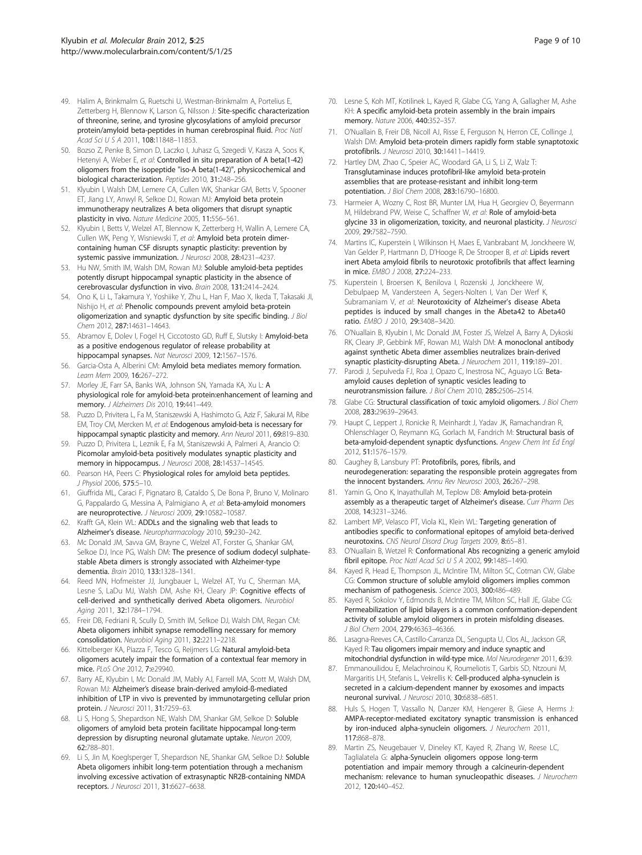- <span id="page-8-0"></span>49. Halim A, Brinkmalm G, Ruetschi U, Westman-Brinkmalm A, Portelius E, Zetterberg H, Blennow K, Larson G, Nilsson J: Site-specific characterization of threonine, serine, and tyrosine glycosylations of amyloid precursor protein/amyloid beta-peptides in human cerebrospinal fluid. Proc Natl Acad Sci U S A 2011, 108:11848–11853.
- 50. Bozso Z, Penke B, Simon D, Laczko I, Juhasz G, Szegedi V, Kasza A, Soos K, Hetenyi A, Weber E, et al: Controlled in situ preparation of A beta(1-42) oligomers from the isopeptide "iso-A beta(1-42)", physicochemical and biological characterization. Peptides 2010, 31:248–256.
- 51. Klyubin I, Walsh DM, Lemere CA, Cullen WK, Shankar GM, Betts V, Spooner ET, Jiang LY, Anwyl R, Selkoe DJ, Rowan MJ: Amyloid beta protein immunotherapy neutralizes A beta oligomers that disrupt synaptic plasticity in vivo. Nature Medicine 2005, 11:556–561.
- 52. Klyubin I, Betts V, Welzel AT, Blennow K, Zetterberg H, Wallin A, Lemere CA, Cullen WK, Peng Y, Wisniewski T, et al: Amyloid beta protein dimercontaining human CSF disrupts synaptic plasticity: prevention by systemic passive immunization. J Neurosci 2008, 28:4231–4237.
- 53. Hu NW, Smith IM, Walsh DM, Rowan MJ: Soluble amyloid-beta peptides potently disrupt hippocampal synaptic plasticity in the absence of cerebrovascular dysfunction in vivo. Brain 2008, 131:2414–2424.
- 54. Ono K, Li L, Takamura Y, Yoshiike Y, Zhu L, Han F, Mao X, Ikeda T, Takasaki JI, Nishijo H, et al: Phenolic compounds prevent amyloid beta-protein oligomerization and synaptic dysfunction by site specific binding. J Biol Chem 2012, 287:14631–14643.
- 55. Abramov E, Dolev I, Fogel H, Ciccotosto GD, Ruff E, Slutsky I: Amyloid-beta as a positive endogenous regulator of release probability at hippocampal synapses. Nat Neurosci 2009, 12:1567–1576.
- 56. Garcia-Osta A, Alberini CM: Amyloid beta mediates memory formation. Learn Mem 2009, 16:267–272.
- 57. Morley JE, Farr SA, Banks WA, Johnson SN, Yamada KA, Xu L: A physiological role for amyloid-beta protein:enhancement of learning and memory. J Alzheimers Dis 2010, 19:441–449.
- 58. Puzzo D, Privitera L, Fa M, Staniszewski A, Hashimoto G, Aziz F, Sakurai M, Ribe EM, Troy CM, Mercken M, et al: Endogenous amyloid-beta is necessary for hippocampal synaptic plasticity and memory. Ann Neurol 2011, 69:819-830.
- 59. Puzzo D, Privitera L, Leznik E, Fa M, Staniszewski A, Palmeri A, Arancio O: Picomolar amyloid-beta positively modulates synaptic plasticity and memory in hippocampus. J Neurosci 2008, 28:14537-14545.
- 60. Pearson HA, Peers C: Physiological roles for amyloid beta peptides. J Physiol 2006, 575:5–10.
- 61. Giuffrida ML, Caraci F, Pignataro B, Cataldo S, De Bona P, Bruno V, Molinaro G, Pappalardo G, Messina A, Palmigiano A, et al: Beta-amyloid monomers are neuroprotective. J Neurosci 2009, 29:10582-10587.
- 62. Krafft GA, Klein WL: ADDLs and the signaling web that leads to Alzheimer's disease. Neuropharmacology 2010, 59:230–242.
- 63. Mc Donald JM, Savva GM, Brayne C, Welzel AT, Forster G, Shankar GM, Selkoe DJ, Ince PG, Walsh DM: The presence of sodium dodecyl sulphatestable Abeta dimers is strongly associated with Alzheimer-type dementia. Brain 2010, 133:1328–1341.
- 64. Reed MN, Hofmeister JJ, Jungbauer L, Welzel AT, Yu C, Sherman MA, Lesne S, LaDu MJ, Walsh DM, Ashe KH, Cleary JP: Cognitive effects of cell-derived and synthetically derived Abeta oligomers. Neurobiol Aging 2011, 32:1784–1794.
- 65. Freir DB, Fedriani R, Scully D, Smith IM, Selkoe DJ, Walsh DM, Regan CM: Abeta oligomers inhibit synapse remodelling necessary for memory consolidation. Neurobiol Aging 2011, 32:2211–2218.
- 66. Kittelberger KA, Piazza F, Tesco G, Reijmers LG: Natural amyloid-beta oligomers acutely impair the formation of a contextual fear memory in mice. PLoS One 2012, 7:e29940.
- 67. Barry AE, Klyubin I, Mc Donald JM, Mably AJ, Farrell MA, Scott M, Walsh DM, Rowan MJ: Alzheimer's disease brain-derived amyloid-ß-mediated inhibition of LTP in vivo is prevented by immunotargeting cellular prion protein. J Neurosci 2011, 31:7259–63.
- 68. Li S, Hong S, Shepardson NE, Walsh DM, Shankar GM, Selkoe D: Soluble oligomers of amyloid beta protein facilitate hippocampal long-term depression by disrupting neuronal glutamate uptake. Neuron 2009, 62:788–801.
- 69. Li S, Jin M, Koeglsperger T, Shepardson NE, Shankar GM, Selkoe DJ: Soluble Abeta oligomers inhibit long-term potentiation through a mechanism involving excessive activation of extrasynaptic NR2B-containing NMDA receptors. J Neurosci 2011, 31:6627–6638.
- 70. Lesne S, Koh MT, Kotilinek L, Kayed R, Glabe CG, Yang A, Gallagher M, Ashe KH: A specific amyloid-beta protein assembly in the brain impairs memory. Nature 2006, 440:352–357.
- 71. O'Nuallain B, Freir DB, Nicoll AJ, Risse E, Ferguson N, Herron CE, Collinge J, Walsh DM: Amyloid beta-protein dimers rapidly form stable synaptotoxic protofibrils. J Neurosci 2010, 30:14411–14419.
- 72. Hartley DM, Zhao C, Speier AC, Woodard GA, Li S, Li Z, Walz T: Transglutaminase induces protofibril-like amyloid beta-protein assemblies that are protease-resistant and inhibit long-term potentiation. J Biol Chem 2008, 283:16790–16800.
- 73. Harmeier A, Wozny C, Rost BR, Munter LM, Hua H, Georgiev O, Beyermann M, Hildebrand PW, Weise C, Schaffner W, et al: Role of amyloid-beta glycine 33 in oligomerization, toxicity, and neuronal plasticity. J Neurosci 2009, 29:7582–7590.
- 74. Martins IC, Kuperstein I, Wilkinson H, Maes E, Vanbrabant M, Jonckheere W, Van Gelder P, Hartmann D, D'Hooge R, De Strooper B, et al: Lipids revert inert Abeta amyloid fibrils to neurotoxic protofibrils that affect learning in mice. EMBO J 2008, 27:224–233.
- 75. Kuperstein I, Broersen K, Benilova I, Rozenski J, Jonckheere W, Debulpaep M, Vandersteen A, Segers-Nolten I, Van Der Werf K, Subramaniam V, et al: Neurotoxicity of Alzheimer's disease Abeta peptides is induced by small changes in the Abeta42 to Abeta40 ratio. EMBO J 2010, 29:3408–3420.
- 76. O'Nuallain B, Klyubin I, Mc Donald JM, Foster JS, Welzel A, Barry A, Dykoski RK, Cleary JP, Gebbink MF, Rowan MJ, Walsh DM: A monoclonal antibody against synthetic Abeta dimer assemblies neutralizes brain-derived synaptic plasticity-disrupting Abeta. J Neurochem 2011, 119:189–201.
- 77. Parodi J, Sepulveda FJ, Roa J, Opazo C, Inestrosa NC, Aguayo LG: Betaamyloid causes depletion of synaptic vesicles leading to neurotransmission failure. J Biol Chem 2010, 285:2506–2514.
- 78. Glabe CG: Structural classification of toxic amyloid oligomers. J Biol Chem 2008, 283:29639–29643.
- 79. Haupt C, Leppert J, Ronicke R, Meinhardt J, Yadav JK, Ramachandran R, Ohlenschlager O, Reymann KG, Gorlach M, Fandrich M: Structural basis of beta-amyloid-dependent synaptic dysfunctions. Angew Chem Int Ed Engl 2012, 51:1576–1579.
- 80. Caughey B, Lansbury PT: Protofibrils, pores, fibrils, and neurodegeneration: separating the responsible protein aggregates from the innocent bystanders. Annu Rev Neurosci 2003, 26:267–298.
- 81. Yamin G, Ono K, Inayathullah M, Teplow DB: Amyloid beta-protein assembly as a therapeutic target of Alzheimer's disease. Curr Pharm Des 2008, 14:3231–3246.
- 82. Lambert MP, Velasco PT, Viola KL, Klein WL: Targeting generation of antibodies specific to conformational epitopes of amyloid beta-derived neurotoxins. CNS Neurol Disord Drug Targets 2009, 8:65–81.
- 83. O'Nuallain B, Wetzel R: Conformational Abs recognizing a generic amyloid fibril epitope. Proc Natl Acad Sci U S A 2002, 99:1485-1490.
- 84. Kayed R, Head E, Thompson JL, McIntire TM, Milton SC, Cotman CW, Glabe CG: Common structure of soluble amyloid oligomers implies common mechanism of pathogenesis. Science 2003, 300:486–489.
- 85. Kayed R, Sokolov Y, Edmonds B, McIntire TM, Milton SC, Hall JE, Glabe CG: Permeabilization of lipid bilayers is a common conformation-dependent activity of soluble amyloid oligomers in protein misfolding diseases. J Biol Chem 2004, 279:46363–46366.
- 86. Lasagna-Reeves CA, Castillo-Carranza DL, Sengupta U, Clos AL, Jackson GR, Kayed R: Tau oligomers impair memory and induce synaptic and mitochondrial dysfunction in wild-type mice. Mol Neurodegener 2011, 6:39.
- 87. Emmanouilidou E, Melachroinou K, Roumeliotis T, Garbis SD, Ntzouni M, Margaritis LH, Stefanis L, Vekrellis K: Cell-produced alpha-synuclein is secreted in a calcium-dependent manner by exosomes and impacts neuronal survival. J Neurosci 2010, 30:6838–6851.
- 88. Huls S, Hogen T, Vassallo N, Danzer KM, Hengerer B, Giese A, Herms J: AMPA-receptor-mediated excitatory synaptic transmission is enhanced by iron-induced alpha-synuclein oligomers. J Neurochem 2011, 117:868–878.
- 89. Martin ZS, Neugebauer V, Dineley KT, Kayed R, Zhang W, Reese LC, Taglialatela G: alpha-Synuclein oligomers oppose long-term potentiation and impair memory through a calcineurin-dependent mechanism: relevance to human synucleopathic diseases. J Neurochem 2012, 120:440–452.